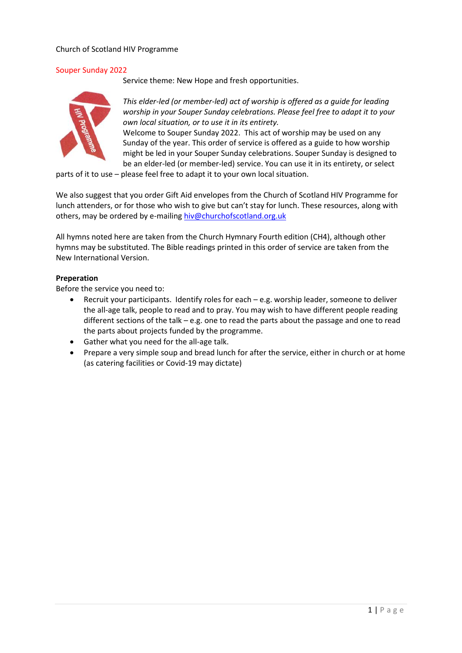## Church of Scotland HIV Programme

## Souper Sunday 2022

Service theme: New Hope and fresh opportunities.



*This elder-led (or member-led) act of worship is offered as a guide for leading worship in your Souper Sunday celebrations. Please feel free to adapt it to your own local situation, or to use it in its entirety.*

Welcome to Souper Sunday 2022. This act of worship may be used on any Sunday of the year. This order of service is offered as a guide to how worship might be led in your Souper Sunday celebrations. Souper Sunday is designed to be an elder-led (or member-led) service. You can use it in its entirety, or select

parts of it to use – please feel free to adapt it to your own local situation.

We also suggest that you order Gift Aid envelopes from the Church of Scotland HIV Programme for lunch attenders, or for those who wish to give but can't stay for lunch. These resources, along with others, may be ordered by e-mailing [hiv@churchofscotland.org.uk](mailto:hiv@churchofscotland.org.uk)

All hymns noted here are taken from the Church Hymnary Fourth edition (CH4), although other hymns may be substituted. The Bible readings printed in this order of service are taken from the New International Version.

### **Preperation**

Before the service you need to:

- Recruit your participants. Identify roles for each e.g. worship leader, someone to deliver the all-age talk, people to read and to pray. You may wish to have different people reading different sections of the talk  $-$  e.g. one to read the parts about the passage and one to read the parts about projects funded by the programme.
- Gather what you need for the all-age talk.
- Prepare a very simple soup and bread lunch for after the service, either in church or at home (as catering facilities or Covid-19 may dictate)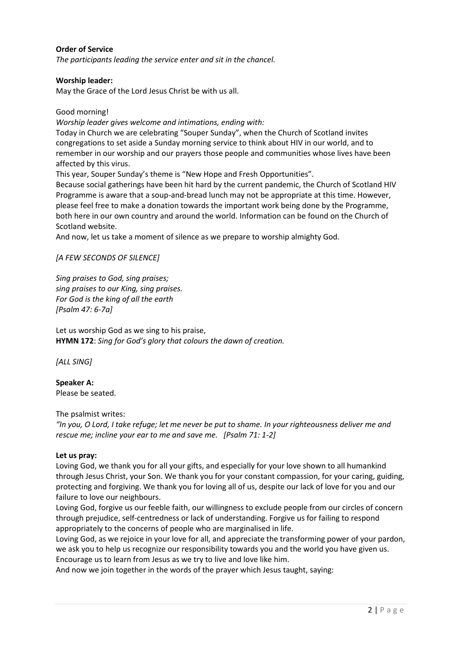# **Order of Service**

*The participants leading the service enter and sit in the chancel.*

#### **Worship leader:**

May the Grace of the Lord Jesus Christ be with us all.

Good morning!

*Worship leader gives welcome and intimations, ending with:*

Today in Church we are celebrating "Souper Sunday", when the Church of Scotland invites congregations to set aside a Sunday morning service to think about HIV in our world, and to remember in our worship and our prayers those people and communities whose lives have been affected by this virus.

This year, Souper Sunday's theme is "New Hope and Fresh Opportunities".

Because social gatherings have been hit hard by the current pandemic, the Church of Scotland HIV Programme is aware that a soup-and-bread lunch may not be appropriate at this time. However, please feel free to make a donation towards the important work being done by the Programme, both here in our own country and around the world. Information can be found on the Church of Scotland website.

And now, let us take a moment of silence as we prepare to worship almighty God.

#### *[A FEW SECONDS OF SILENCE]*

*Sing praises to God, sing praises; sing praises to our King, sing praises. For God is the king of all the earth [Psalm 47: 6-7a]*

Let us worship God as we sing to his praise, **HYMN 172**: *Sing for God's glory that colours the dawn of creation.*

*[ALL SING]*

**Speaker A:** Please be seated.

The psalmist writes:

*"In you, O Lord, I take refuge; let me never be put to shame. In your righteousness deliver me and rescue me; incline your ear to me and save me. [Psalm 71: 1-2]*

#### **Let us pray:**

Loving God, we thank you for all your gifts, and especially for your love shown to all humankind through Jesus Christ, your Son. We thank you for your constant compassion, for your caring, guiding, protecting and forgiving. We thank you for loving all of us, despite our lack of love for you and our failure to love our neighbours.

Loving God, forgive us our feeble faith, our willingness to exclude people from our circles of concern through prejudice, self-centredness or lack of understanding. Forgive us for failing to respond appropriately to the concerns of people who are marginalised in life.

Loving God, as we rejoice in your love for all, and appreciate the transforming power of your pardon, we ask you to help us recognize our responsibility towards you and the world you have given us. Encourage us to learn from Jesus as we try to live and love like him.

And now we join together in the words of the prayer which Jesus taught, saying: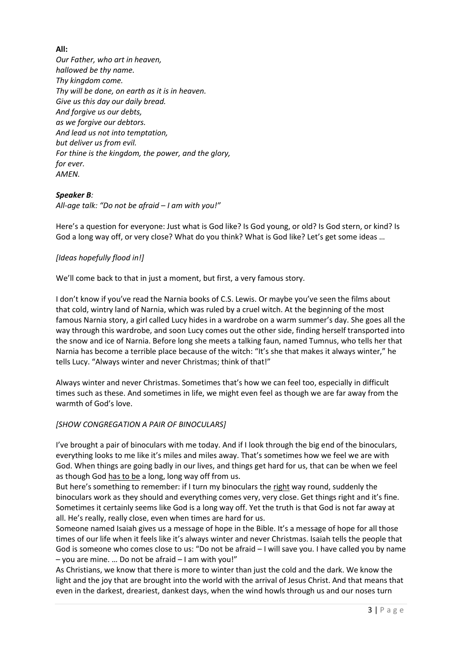# **All:**

*Our Father, who art in heaven, hallowed be thy name. Thy kingdom come. Thy will be done, on earth as it is in heaven. Give us this day our daily bread. And forgive us our debts, as we forgive our debtors. And lead us not into temptation, but deliver us from evil. For thine is the kingdom, the power, and the glory, for ever. AMEN.*

## *Speaker B:*

*All-age talk: "Do not be afraid – I am with you!"*

Here's a question for everyone: Just what is God like? Is God young, or old? Is God stern, or kind? Is God a long way off, or very close? What do you think? What is God like? Let's get some ideas …

## *[Ideas hopefully flood in!]*

We'll come back to that in just a moment, but first, a very famous story.

I don't know if you've read the Narnia books of C.S. Lewis. Or maybe you've seen the films about that cold, wintry land of Narnia, which was ruled by a cruel witch. At the beginning of the most famous Narnia story, a girl called Lucy hides in a wardrobe on a warm summer's day. She goes all the way through this wardrobe, and soon Lucy comes out the other side, finding herself transported into the snow and ice of Narnia. Before long she meets a talking faun, named Tumnus, who tells her that Narnia has become a terrible place because of the witch: "It's she that makes it always winter," he tells Lucy. "Always winter and never Christmas; think of that!"

Always winter and never Christmas. Sometimes that's how we can feel too, especially in difficult times such as these. And sometimes in life, we might even feel as though we are far away from the warmth of God's love.

### *[SHOW CONGREGATION A PAIR OF BINOCULARS]*

I've brought a pair of binoculars with me today. And if I look through the big end of the binoculars, everything looks to me like it's miles and miles away. That's sometimes how we feel we are with God. When things are going badly in our lives, and things get hard for us, that can be when we feel as though God has to be a long, long way off from us.

But here's something to remember: if I turn my binoculars the right way round, suddenly the binoculars work as they should and everything comes very, very close. Get things right and it's fine. Sometimes it certainly seems like God is a long way off. Yet the truth is that God is not far away at all. He's really, really close, even when times are hard for us.

Someone named Isaiah gives us a message of hope in the Bible. It's a message of hope for all those times of our life when it feels like it's always winter and never Christmas. Isaiah tells the people that God is someone who comes close to us: "Do not be afraid – I will save you. I have called you by name – you are mine. … Do not be afraid – I am with you!"

As Christians, we know that there is more to winter than just the cold and the dark. We know the light and the joy that are brought into the world with the arrival of Jesus Christ. And that means that even in the darkest, dreariest, dankest days, when the wind howls through us and our noses turn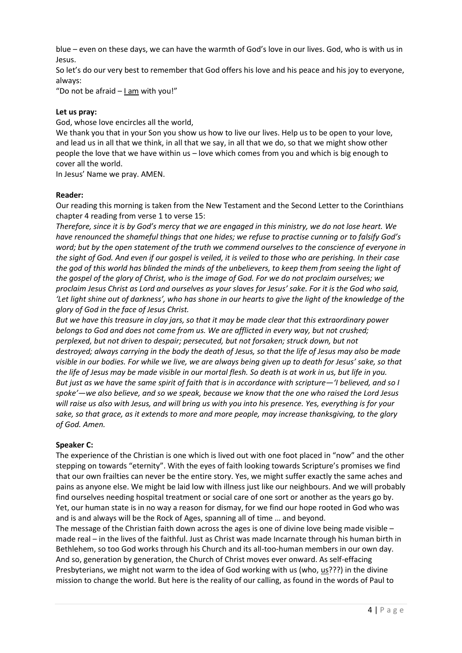blue – even on these days, we can have the warmth of God's love in our lives. God, who is with us in Jesus.

So let's do our very best to remember that God offers his love and his peace and his joy to everyone, always:

"Do not be afraid – I am with you!"

### **Let us pray:**

God, whose love encircles all the world,

We thank you that in your Son you show us how to live our lives. Help us to be open to your love, and lead us in all that we think, in all that we say, in all that we do, so that we might show other people the love that we have within us – love which comes from you and which is big enough to cover all the world.

In Jesus' Name we pray. AMEN.

### **Reader:**

Our reading this morning is taken from the New Testament and the Second Letter to the Corinthians chapter 4 reading from verse 1 to verse 15:

*Therefore, since it is by God's mercy that we are engaged in this ministry, we do not lose heart. We have renounced the shameful things that one hides; we refuse to practise cunning or to falsify God's word; but by the open statement of the truth we commend ourselves to the conscience of everyone in the sight of God. And even if our gospel is veiled, it is veiled to those who are perishing. In their case the god of this world has blinded the minds of the unbelievers, to keep them from seeing the light of the gospel of the glory of Christ, who is the image of God. For we do not proclaim ourselves; we proclaim Jesus Christ as Lord and ourselves as your slaves for Jesus' sake. For it is the God who said, 'Let light shine out of darkness', who has shone in our hearts to give the light of the knowledge of the glory of God in the face of Jesus Christ.*

*But we have this treasure in clay jars, so that it may be made clear that this extraordinary power belongs to God and does not come from us. We are afflicted in every way, but not crushed; perplexed, but not driven to despair; persecuted, but not forsaken; struck down, but not destroyed; always carrying in the body the death of Jesus, so that the life of Jesus may also be made visible in our bodies. For while we live, we are always being given up to death for Jesus' sake, so that the life of Jesus may be made visible in our mortal flesh. So death is at work in us, but life in you. But just as we have the same spirit of faith that is in accordance with scripture—'I believed, and so I spoke'—we also believe, and so we speak, because we know that the one who raised the Lord Jesus will raise us also with Jesus, and will bring us with you into his presence. Yes, everything is for your sake, so that grace, as it extends to more and more people, may increase thanksgiving, to the glory of God. Amen.*

### **Speaker C:**

The experience of the Christian is one which is lived out with one foot placed in "now" and the other stepping on towards "eternity". With the eyes of faith looking towards Scripture's promises we find that our own frailties can never be the entire story. Yes, we might suffer exactly the same aches and pains as anyone else. We might be laid low with illness just like our neighbours. And we will probably find ourselves needing hospital treatment or social care of one sort or another as the years go by. Yet, our human state is in no way a reason for dismay, for we find our hope rooted in God who was and is and always will be the Rock of Ages, spanning all of time … and beyond.

The message of the Christian faith down across the ages is one of divine love being made visible – made real – in the lives of the faithful. Just as Christ was made Incarnate through his human birth in Bethlehem, so too God works through his Church and its all-too-human members in our own day. And so, generation by generation, the Church of Christ moves ever onward. As self-effacing Presbyterians, we might not warm to the idea of God working with us (who, us???) in the divine mission to change the world. But here is the reality of our calling, as found in the words of Paul to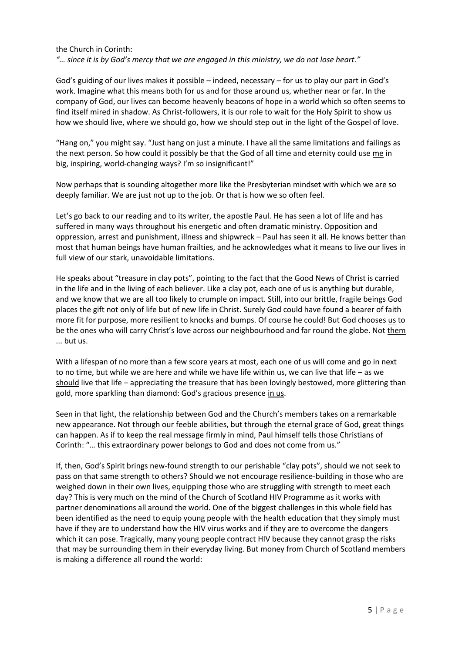### the Church in Corinth:

*"… since it is by God's mercy that we are engaged in this ministry, we do not lose heart."*

God's guiding of our lives makes it possible – indeed, necessary – for us to play our part in God's work. Imagine what this means both for us and for those around us, whether near or far. In the company of God, our lives can become heavenly beacons of hope in a world which so often seems to find itself mired in shadow. As Christ-followers, it is our role to wait for the Holy Spirit to show us how we should live, where we should go, how we should step out in the light of the Gospel of love.

"Hang on," you might say. "Just hang on just a minute. I have all the same limitations and failings as the next person. So how could it possibly be that the God of all time and eternity could use me in big, inspiring, world-changing ways? I'm so insignificant!"

Now perhaps that is sounding altogether more like the Presbyterian mindset with which we are so deeply familiar. We are just not up to the job. Or that is how we so often feel.

Let's go back to our reading and to its writer, the apostle Paul. He has seen a lot of life and has suffered in many ways throughout his energetic and often dramatic ministry. Opposition and oppression, arrest and punishment, illness and shipwreck – Paul has seen it all. He knows better than most that human beings have human frailties, and he acknowledges what it means to live our lives in full view of our stark, unavoidable limitations.

He speaks about "treasure in clay pots", pointing to the fact that the Good News of Christ is carried in the life and in the living of each believer. Like a clay pot, each one of us is anything but durable, and we know that we are all too likely to crumple on impact. Still, into our brittle, fragile beings God places the gift not only of life but of new life in Christ. Surely God could have found a bearer of faith more fit for purpose, more resilient to knocks and bumps. Of course he could! But God chooses us to be the ones who will carry Christ's love across our neighbourhood and far round the globe. Not them ... but us.

With a lifespan of no more than a few score years at most, each one of us will come and go in next to no time, but while we are here and while we have life within us, we can live that life – as we should live that life – appreciating the treasure that has been lovingly bestowed, more glittering than gold, more sparkling than diamond: God's gracious presence in us.

Seen in that light, the relationship between God and the Church's members takes on a remarkable new appearance. Not through our feeble abilities, but through the eternal grace of God, great things can happen. As if to keep the real message firmly in mind, Paul himself tells those Christians of Corinth: "… this extraordinary power belongs to God and does not come from us."

If, then, God's Spirit brings new-found strength to our perishable "clay pots", should we not seek to pass on that same strength to others? Should we not encourage resilience-building in those who are weighed down in their own lives, equipping those who are struggling with strength to meet each day? This is very much on the mind of the Church of Scotland HIV Programme as it works with partner denominations all around the world. One of the biggest challenges in this whole field has been identified as the need to equip young people with the health education that they simply must have if they are to understand how the HIV virus works and if they are to overcome the dangers which it can pose. Tragically, many young people contract HIV because they cannot grasp the risks that may be surrounding them in their everyday living. But money from Church of Scotland members is making a difference all round the world: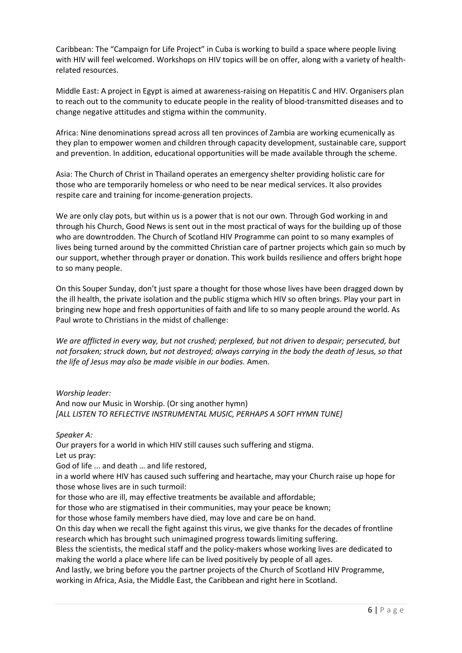Caribbean: The "Campaign for Life Project" in Cuba is working to build a space where people living with HIV will feel welcomed. Workshops on HIV topics will be on offer, along with a variety of healthrelated resources.

Middle East: A project in Egypt is aimed at awareness-raising on Hepatitis C and HIV. Organisers plan to reach out to the community to educate people in the reality of blood-transmitted diseases and to change negative attitudes and stigma within the community.

Africa: Nine denominations spread across all ten provinces of Zambia are working ecumenically as they plan to empower women and children through capacity development, sustainable care, support and prevention. In addition, educational opportunities will be made available through the scheme.

Asia: The Church of Christ in Thailand operates an emergency shelter providing holistic care for those who are temporarily homeless or who need to be near medical services. It also provides respite care and training for income-generation projects.

We are only clay pots, but within us is a power that is not our own. Through God working in and through his Church, Good News is sent out in the most practical of ways for the building up of those who are downtrodden. The Church of Scotland HIV Programme can point to so many examples of lives being turned around by the committed Christian care of partner projects which gain so much by our support, whether through prayer or donation. This work builds resilience and offers bright hope to so many people.

On this Souper Sunday, don't just spare a thought for those whose lives have been dragged down by the ill health, the private isolation and the public stigma which HIV so often brings. Play your part in bringing new hope and fresh opportunities of faith and life to so many people around the world. As Paul wrote to Christians in the midst of challenge:

*We are afflicted in every way, but not crushed; perplexed, but not driven to despair; persecuted, but not forsaken; struck down, but not destroyed; always carrying in the body the death of Jesus, so that the life of Jesus may also be made visible in our bodies.* Amen.

*Worship leader:* And now our Music in Worship. (Or sing another hymn) *[ALL LISTEN TO REFLECTIVE INSTRUMENTAL MUSIC, PERHAPS A SOFT HYMN TUNE]*

*Speaker A:*

Our prayers for a world in which HIV still causes such suffering and stigma. Let us pray:

God of life ... and death … and life restored,

in a world where HIV has caused such suffering and heartache, may your Church raise up hope for those whose lives are in such turmoil:

for those who are ill, may effective treatments be available and affordable;

for those who are stigmatised in their communities, may your peace be known;

for those whose family members have died, may love and care be on hand.

On this day when we recall the fight against this virus, we give thanks for the decades of frontline research which has brought such unimagined progress towards limiting suffering.

Bless the scientists, the medical staff and the policy-makers whose working lives are dedicated to making the world a place where life can be lived positively by people of all ages.

And lastly, we bring before you the partner projects of the Church of Scotland HIV Programme, working in Africa, Asia, the Middle East, the Caribbean and right here in Scotland.